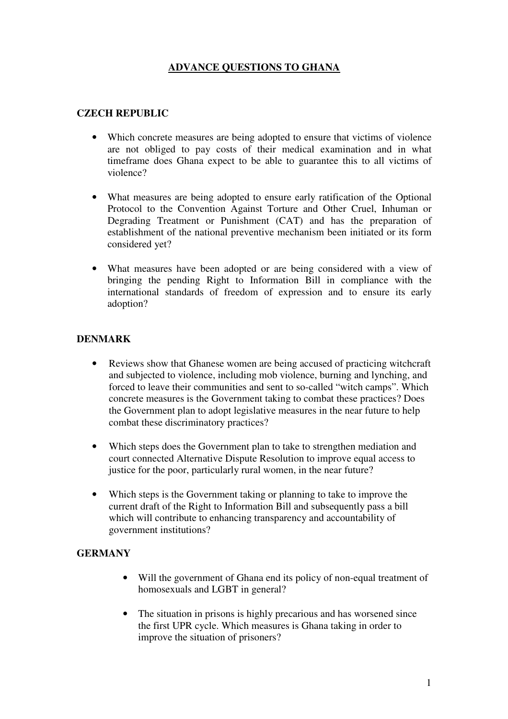# **ADVANCE QUESTIONS TO GHANA**

#### **CZECH REPUBLIC**

- Which concrete measures are being adopted to ensure that victims of violence are not obliged to pay costs of their medical examination and in what timeframe does Ghana expect to be able to guarantee this to all victims of violence?
- What measures are being adopted to ensure early ratification of the Optional Protocol to the Convention Against Torture and Other Cruel, Inhuman or Degrading Treatment or Punishment (CAT) and has the preparation of establishment of the national preventive mechanism been initiated or its form considered yet?
- What measures have been adopted or are being considered with a view of bringing the pending Right to Information Bill in compliance with the international standards of freedom of expression and to ensure its early adoption?

### **DENMARK**

- Reviews show that Ghanese women are being accused of practicing witchcraft and subjected to violence, including mob violence, burning and lynching, and forced to leave their communities and sent to so-called "witch camps". Which concrete measures is the Government taking to combat these practices? Does the Government plan to adopt legislative measures in the near future to help combat these discriminatory practices?
- Which steps does the Government plan to take to strengthen mediation and court connected Alternative Dispute Resolution to improve equal access to justice for the poor, particularly rural women, in the near future?
- Which steps is the Government taking or planning to take to improve the current draft of the Right to Information Bill and subsequently pass a bill which will contribute to enhancing transparency and accountability of government institutions?

#### **GERMANY**

- Will the government of Ghana end its policy of non-equal treatment of homosexuals and LGBT in general?
- The situation in prisons is highly precarious and has worsened since the first UPR cycle. Which measures is Ghana taking in order to improve the situation of prisoners?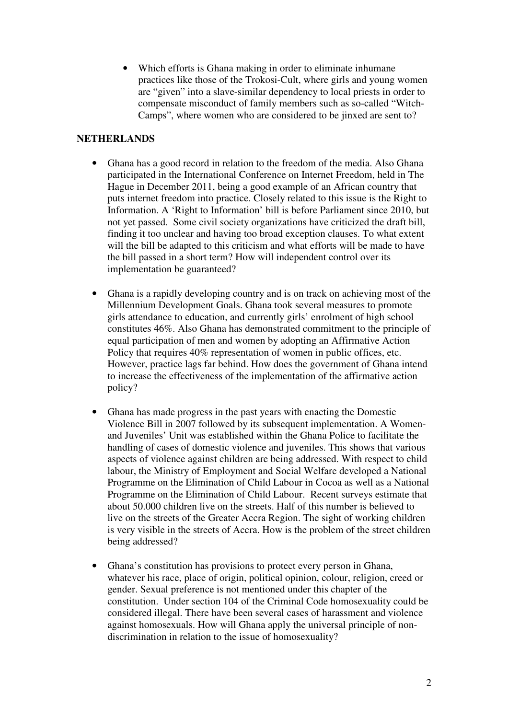• Which efforts is Ghana making in order to eliminate inhumane practices like those of the Trokosi-Cult, where girls and young women are "given" into a slave-similar dependency to local priests in order to compensate misconduct of family members such as so-called "Witch-Camps", where women who are considered to be jinxed are sent to?

#### **NETHERLANDS**

- Ghana has a good record in relation to the freedom of the media. Also Ghana participated in the International Conference on Internet Freedom, held in The Hague in December 2011, being a good example of an African country that puts internet freedom into practice. Closely related to this issue is the Right to Information. A 'Right to Information' bill is before Parliament since 2010, but not yet passed. Some civil society organizations have criticized the draft bill, finding it too unclear and having too broad exception clauses. To what extent will the bill be adapted to this criticism and what efforts will be made to have the bill passed in a short term? How will independent control over its implementation be guaranteed?
- Ghana is a rapidly developing country and is on track on achieving most of the Millennium Development Goals. Ghana took several measures to promote girls attendance to education, and currently girls' enrolment of high school constitutes 46%. Also Ghana has demonstrated commitment to the principle of equal participation of men and women by adopting an Affirmative Action Policy that requires 40% representation of women in public offices, etc. However, practice lags far behind. How does the government of Ghana intend to increase the effectiveness of the implementation of the affirmative action policy?
- Ghana has made progress in the past years with enacting the Domestic Violence Bill in 2007 followed by its subsequent implementation. A Womenand Juveniles' Unit was established within the Ghana Police to facilitate the handling of cases of domestic violence and juveniles. This shows that various aspects of violence against children are being addressed. With respect to child labour, the Ministry of Employment and Social Welfare developed a National Programme on the Elimination of Child Labour in Cocoa as well as a National Programme on the Elimination of Child Labour. Recent surveys estimate that about 50.000 children live on the streets. Half of this number is believed to live on the streets of the Greater Accra Region. The sight of working children is very visible in the streets of Accra. How is the problem of the street children being addressed?
- Ghana's constitution has provisions to protect every person in Ghana, whatever his race, place of origin, political opinion, colour, religion, creed or gender. Sexual preference is not mentioned under this chapter of the constitution. Under section 104 of the Criminal Code homosexuality could be considered illegal. There have been several cases of harassment and violence against homosexuals. How will Ghana apply the universal principle of nondiscrimination in relation to the issue of homosexuality?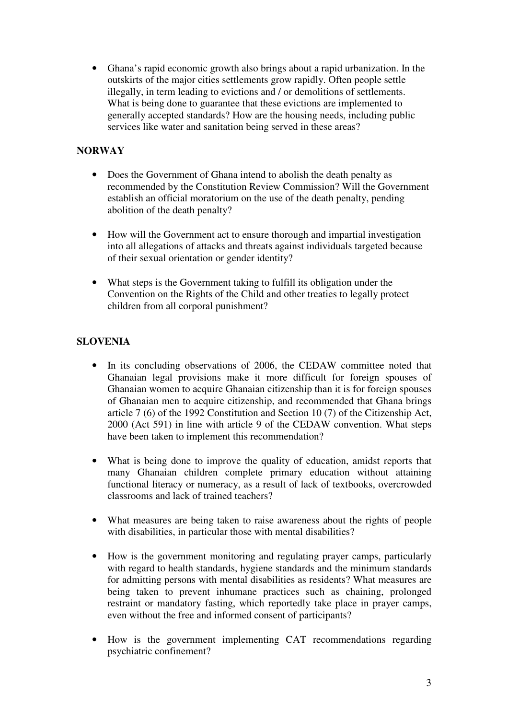• Ghana's rapid economic growth also brings about a rapid urbanization. In the outskirts of the major cities settlements grow rapidly. Often people settle illegally, in term leading to evictions and / or demolitions of settlements. What is being done to guarantee that these evictions are implemented to generally accepted standards? How are the housing needs, including public services like water and sanitation being served in these areas?

# **NORWAY**

- Does the Government of Ghana intend to abolish the death penalty as recommended by the Constitution Review Commission? Will the Government establish an official moratorium on the use of the death penalty, pending abolition of the death penalty?
- How will the Government act to ensure thorough and impartial investigation into all allegations of attacks and threats against individuals targeted because of their sexual orientation or gender identity?
- What steps is the Government taking to fulfill its obligation under the Convention on the Rights of the Child and other treaties to legally protect children from all corporal punishment?

### **SLOVENIA**

- In its concluding observations of 2006, the CEDAW committee noted that Ghanaian legal provisions make it more difficult for foreign spouses of Ghanaian women to acquire Ghanaian citizenship than it is for foreign spouses of Ghanaian men to acquire citizenship, and recommended that Ghana brings article 7 (6) of the 1992 Constitution and Section 10 (7) of the Citizenship Act, 2000 (Act 591) in line with article 9 of the CEDAW convention. What steps have been taken to implement this recommendation?
- What is being done to improve the quality of education, amidst reports that many Ghanaian children complete primary education without attaining functional literacy or numeracy, as a result of lack of textbooks, overcrowded classrooms and lack of trained teachers?
- What measures are being taken to raise awareness about the rights of people with disabilities, in particular those with mental disabilities?
- How is the government monitoring and regulating prayer camps, particularly with regard to health standards, hygiene standards and the minimum standards for admitting persons with mental disabilities as residents? What measures are being taken to prevent inhumane practices such as chaining, prolonged restraint or mandatory fasting, which reportedly take place in prayer camps, even without the free and informed consent of participants?
- How is the government implementing CAT recommendations regarding psychiatric confinement?